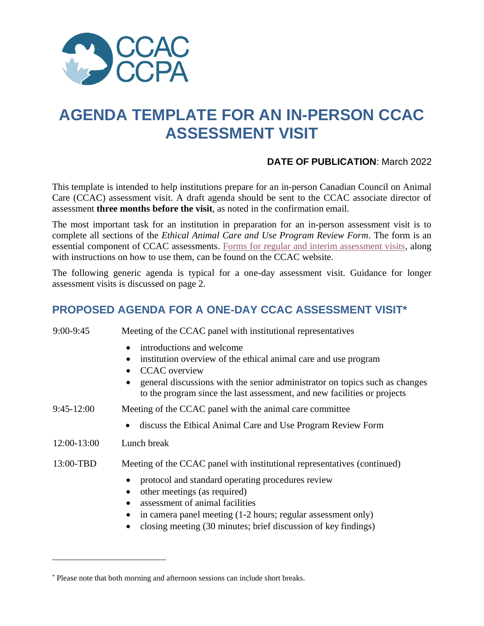

# **AGENDA TEMPLATE FOR AN IN-PERSON CCAC ASSESSMENT VISIT**

#### **DATE OF PUBLICATION**: March 2022

This template is intended to help institutions prepare for an in-person Canadian Council on Animal Care (CCAC) assessment visit. A draft agenda should be sent to the CCAC associate director of assessment **three months before the visit**, as noted in the confirmation email.

The most important task for an institution in preparation for an in-person assessment visit is to complete all sections of the *Ethical Animal Care and Use Program Review Form*. The form is an essential component of CCAC assessments. [Forms for regular and interim assessment visits,](https://ccac.ca/en/certification/resources.html) along with instructions on how to use them, can be found on the CCAC website.

The following generic agenda is typical for a one-day assessment visit. Guidance for longer assessment visits is discussed on page 2.

# **PROPOSED AGENDA FOR A ONE-DAY CCAC ASSESSMENT VISIT\***

| 9:00-9:45    | Meeting of the CCAC panel with institutional representatives                                                                                                                                                                                                                    |
|--------------|---------------------------------------------------------------------------------------------------------------------------------------------------------------------------------------------------------------------------------------------------------------------------------|
|              | introductions and welcome<br>institution overview of the ethical animal care and use program<br><b>CCAC</b> overview<br>general discussions with the senior administrator on topics such as changes<br>to the program since the last assessment, and new facilities or projects |
| $9:45-12:00$ | Meeting of the CCAC panel with the animal care committee                                                                                                                                                                                                                        |
|              | discuss the Ethical Animal Care and Use Program Review Form<br>$\bullet$                                                                                                                                                                                                        |
| 12:00-13:00  | Lunch break                                                                                                                                                                                                                                                                     |
| 13:00-TBD    | Meeting of the CCAC panel with institutional representatives (continued)                                                                                                                                                                                                        |
|              | protocol and standard operating procedures review<br>other meetings (as required)<br>assessment of animal facilities<br>in camera panel meeting (1-2 hours; regular assessment only)<br>closing meeting (30 minutes; brief discussion of key findings)                          |

<sup>\*</sup> Please note that both morning and afternoon sessions can include short breaks.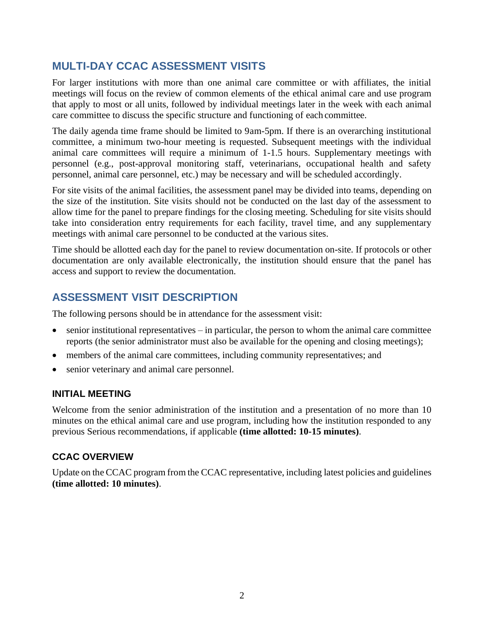# **MULTI-DAY CCAC ASSESSMENT VISITS**

For larger institutions with more than one animal care committee or with affiliates, the initial meetings will focus on the review of common elements of the ethical animal care and use program that apply to most or all units, followed by individual meetings later in the week with each animal care committee to discuss the specific structure and functioning of each committee.

The daily agenda time frame should be limited to 9am-5pm. If there is an overarching institutional committee, a minimum two-hour meeting is requested. Subsequent meetings with the individual animal care committees will require a minimum of 1-1.5 hours. Supplementary meetings with personnel (e.g., post-approval monitoring staff, veterinarians, occupational health and safety personnel, animal care personnel, etc.) may be necessary and will be scheduled accordingly.

For site visits of the animal facilities, the assessment panel may be divided into teams, depending on the size of the institution. Site visits should not be conducted on the last day of the assessment to allow time for the panel to prepare findings for the closing meeting. Scheduling for site visits should take into consideration entry requirements for each facility, travel time, and any supplementary meetings with animal care personnel to be conducted at the various sites.

Time should be allotted each day for the panel to review documentation on-site. If protocols or other documentation are only available electronically, the institution should ensure that the panel has access and support to review the documentation.

# **ASSESSMENT VISIT DESCRIPTION**

The following persons should be in attendance for the assessment visit:

- $\bullet$  senior institutional representatives in particular, the person to whom the animal care committee reports (the senior administrator must also be available for the opening and closing meetings);
- members of the animal care committees, including community representatives; and
- senior veterinary and animal care personnel.

#### **INITIAL MEETING**

Welcome from the senior administration of the institution and a presentation of no more than 10 minutes on the ethical animal care and use program, including how the institution responded to any previous Serious recommendations, if applicable **(time allotted: 10-15 minutes)**.

#### **CCAC OVERVIEW**

Update on the CCAC program from the CCAC representative, including latest policies and guidelines **(time allotted: 10 minutes)**.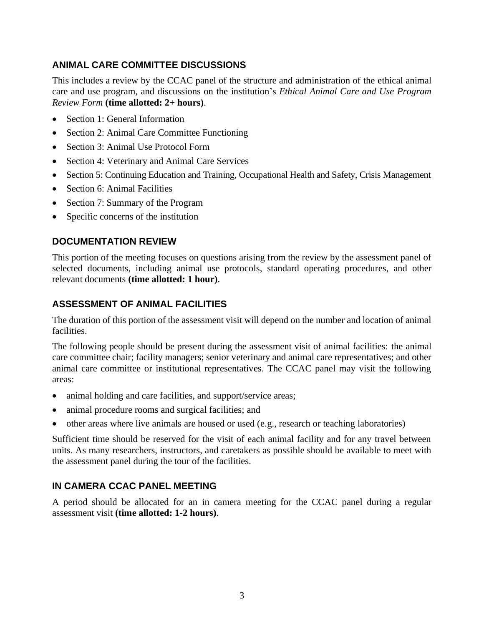### **ANIMAL CARE COMMITTEE DISCUSSIONS**

This includes a review by the CCAC panel of the structure and administration of the ethical animal care and use program, and discussions on the institution's *Ethical Animal Care and Use Program Review Form* **(time allotted: 2+ hours)**.

- Section 1: General Information
- Section 2: Animal Care Committee Functioning
- Section 3: Animal Use Protocol Form
- Section 4: Veterinary and Animal Care Services
- Section 5: Continuing Education and Training, Occupational Health and Safety, Crisis Management
- Section 6: Animal Facilities
- Section 7: Summary of the Program
- Specific concerns of the institution

#### **DOCUMENTATION REVIEW**

This portion of the meeting focuses on questions arising from the review by the assessment panel of selected documents, including animal use protocols, standard operating procedures, and other relevant documents **(time allotted: 1 hour)**.

#### **ASSESSMENT OF ANIMAL FACILITIES**

The duration of this portion of the assessment visit will depend on the number and location of animal facilities.

The following people should be present during the assessment visit of animal facilities: the animal care committee chair; facility managers; senior veterinary and animal care representatives; and other animal care committee or institutional representatives. The CCAC panel may visit the following areas:

- animal holding and care facilities, and support/service areas;
- animal procedure rooms and surgical facilities; and
- other areas where live animals are housed or used (e.g., research or teaching laboratories)

Sufficient time should be reserved for the visit of each animal facility and for any travel between units. As many researchers, instructors, and caretakers as possible should be available to meet with the assessment panel during the tour of the facilities.

#### **IN CAMERA CCAC PANEL MEETING**

A period should be allocated for an in camera meeting for the CCAC panel during a regular assessment visit **(time allotted: 1-2 hours)**.